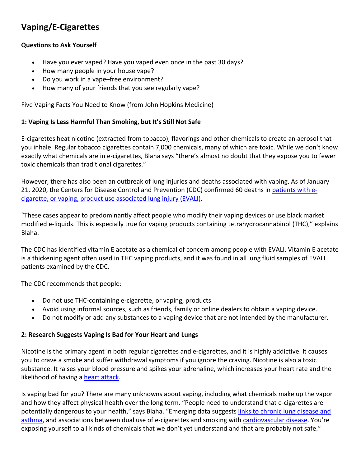# **Vaping/E-Cigarettes**

# **Questions to Ask Yourself**

- Have you ever vaped? Have you vaped even once in the past 30 days?
- How many people in your house vape?
- Do you work in a vape–free environment?
- How many of your friends that you see regularly vape?

Five Vaping Facts You Need to Know (from John Hopkins Medicine)

# **1: Vaping Is Less Harmful Than Smoking, but It's Still Not Safe**

E-cigarettes heat nicotine (extracted from tobacco), flavorings and other chemicals to create an aerosol that you inhale. Regular tobacco cigarettes contain 7,000 chemicals, many of which are toxic. While we don't know exactly what chemicals are in e-cigarettes, Blaha says "there's almost no doubt that they expose you to fewer toxic chemicals than traditional cigarettes."

However, there has also been an outbreak of lung injuries and deaths associated with vaping. As of January 21, 2020, the Centers for Disease Control and Prevention (CDC) confirmed 60 deaths i[n patients with e](https://www.cdc.gov/tobacco/basic_information/e-cigarettes/severe-lung-disease.html)[cigarette, or vaping, product use associated lung injury \(EVALI\).](https://www.cdc.gov/tobacco/basic_information/e-cigarettes/severe-lung-disease.html)

"These cases appear to predominantly affect people who modify their vaping devices or use black market modified e-liquids. This is especially true for vaping products containing tetrahydrocannabinol (THC)," explains Blaha.

The CDC has identified vitamin E acetate as a chemical of concern among people with EVALI. Vitamin E acetate is a thickening agent often used in THC vaping products, and it was found in all lung fluid samples of EVALI patients examined by the CDC.

The CDC recommends that people:

- Do not use THC-containing e-cigarette, or vaping, products
- Avoid using informal sources, such as friends, family or online dealers to obtain a vaping device.
- Do not modify or add any substances to a vaping device that are not intended by the manufacturer.

#### **2: Research Suggests Vaping Is Bad for Your Heart and Lungs**

Nicotine is the primary agent in both regular cigarettes and e-cigarettes, and it is highly addictive. It causes you to crave a smoke and suffer withdrawal symptoms if you ignore the craving. Nicotine is also a toxic substance. It raises your blood pressure and spikes your adrenaline, which increases your heart rate and the likelihood of having a [heart attack.](https://www.hopkinsmedicine.org/health/conditions-and-diseases/heart-attack)

Is vaping bad for you? There are many unknowns about vaping, including what chemicals make up the vapor and how they affect physical health over the long term. "People need to understand that e-cigarettes are potentially dangerous to your health," says Blaha. "Emerging data suggests [links to chronic lung disease and](https://www.hopkinsmedicine.org/news/newsroom/news-releases/vaping-increases-odds-of-asthma-and-copd)  [asthma,](https://www.hopkinsmedicine.org/news/newsroom/news-releases/vaping-increases-odds-of-asthma-and-copd) and associations between dual use of e-cigarettes and smoking with [cardiovascular disease.](https://www.ncbi.nlm.nih.gov/pubmed/30853474) You're exposing yourself to all kinds of chemicals that we don't yet understand and that are probably not safe."